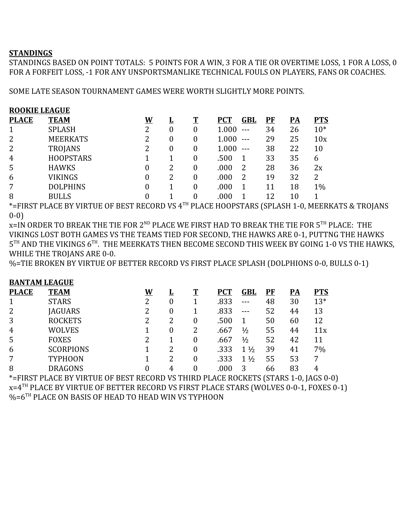## **STANDINGS**

STANDINGS BASED ON POINT TOTALS: 5 POINTS FOR A WIN, 3 FOR A TIE OR OVERTIME LOSS, 1 FOR A LOSS, 0 FOR A FORFEIT LOSS, -1 FOR ANY UNSPORTSMANLIKE TECHNICAL FOULS ON PLAYERS, FANS OR COACHES.

SOME LATE SEASON TOURNAMENT GAMES WERE WORTH SLIGHTLY MORE POINTS.

| <b>ROOKIE LEAGUE</b> |                  |          |          |          |            |                   |    |           |            |  |
|----------------------|------------------|----------|----------|----------|------------|-------------------|----|-----------|------------|--|
| <b>PLACE</b>         | <b>TEAM</b>      | <u>W</u> | <u>ц</u> | T        | <b>PCT</b> | GBL               | PF | <u>PA</u> | <b>PTS</b> |  |
|                      | <b>SPLASH</b>    | 2        | $\theta$ | 0        | 1.000      | $---$             | 34 | 26        | $10*$      |  |
| 2                    | <b>MEERKATS</b>  | 2        | $\theta$ | $\theta$ | 1.000      | $- - -$           | 29 | 25        | 10x        |  |
| 2                    | <b>TROJANS</b>   | 2        | $\theta$ | 0        | 1.000      | $\qquad \qquad -$ | 38 | 22        | 10         |  |
| $\overline{4}$       | <b>HOOPSTARS</b> |          |          | 0        | .500       |                   | 33 | 35        | 6          |  |
| 5                    | <b>HAWKS</b>     | 0        | 2        | 0        | .000       |                   | 28 | 36        | 2x         |  |
| 6                    | <b>VIKINGS</b>   | 0        | 2        | 0        | .000       | 2                 | 19 | 32        | 2          |  |
| 7                    | <b>DOLPHINS</b>  | 0        |          | 0        | .000       |                   | 11 | 18        | $1\%$      |  |
| 8                    | <b>BULLS</b>     |          |          | 0        | .000       |                   | 12 | 10        |            |  |

\*=FIRST PLACE BY VIRTUE OF BEST RECORD VS 4TH PLACE HOOPSTARS (SPLASH 1-0, MEERKATS & TROJANS 0-0)

 $\,$ x=IN ORDER TO BREAK THE TIE FOR 2 $^{\rm ND}$  PLACE WE FIRST HAD TO BREAK THE TIE FOR 5 $^{\rm TH}$  PLACE: THE VIKINGS LOST BOTH GAMES VS THE TEAMS TIED FOR SECOND, THE HAWKS ARE 0-1, PUTTNG THE HAWKS  $5^{\text{\tiny{TH}}}$  AND THE VIKINGS  $6^{\text{\tiny{TH}}}$ . THE MEERKATS THEN BECOME SECOND THIS WEEK BY GOING 1-0 VS THE HAWKS, WHILE THE TROJANS ARE 0-0.

%=TIE BROKEN BY VIRTUE OF BETTER RECORD VS FIRST PLACE SPLASH (DOLPHIONS 0-0, BULLS 0-1)

## **BANTAM LEAGUE**

| <b>PLACE</b>   | <b>TEAM</b>      | W | <u>ப</u> | T | <b>PCT</b> | GBL            | PF | PA | <b>PTS</b> |
|----------------|------------------|---|----------|---|------------|----------------|----|----|------------|
| 1              | <b>STARS</b>     | 2 | 0        |   | .833       |                | 48 | 30 | $13*$      |
| 2              | <b>JAGUARS</b>   | 2 | $\theta$ |   | .833       | $- - -$        | 52 | 44 | 13         |
| 3              | <b>ROCKETS</b>   | 2 |          | 0 | .500       |                | 50 | 60 | 12         |
| $\overline{4}$ | <b>WOLVES</b>    |   | $\theta$ | 2 | .667       | $\frac{1}{2}$  | 55 | 44 | 11x        |
| 5              | <b>FOXES</b>     | 2 |          | 0 | .667       | $\frac{1}{2}$  | 52 | 42 | 11         |
| 6              | <b>SCORPIONS</b> |   |          | 0 | .333       | $1\frac{1}{2}$ | 39 | 41 | 7%         |
| 7              | <b>TYPHOON</b>   |   |          |   | .333       | $1\frac{1}{2}$ | 55 | 53 | 7          |
| 8              | DRAGONS          |   | 4        |   | .000       | 3              | 66 | 83 | 4          |

\*=FIRST PLACE BY VIRTUE OF BEST RECORD VS THIRD PLACE ROCKETS (STARS 1-0, JAGS 0-0) x=4TH PLACE BY VIRTUE OF BETTER RECORD VS FIRST PLACE STARS (WOLVES 0-0-1, FOXES 0-1) %=6TH PLACE ON BASIS OF HEAD TO HEAD WIN VS TYPHOON